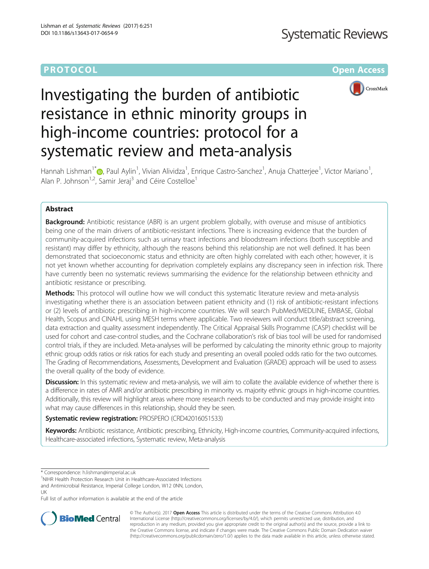# **PROTOCOL CONSUMING THE CONSUMING TEACHER CONSUMING THE CONSUMING TEACHER CONSUMING THE CONSUMING TEACHER CONSUMING THE CONSUMING TEACHER CONSUMING THE CONSUMING TEACHER CONSUMING THE CONSUMING TEACHER CONSUMING THE CONS**



# Investigating the burden of antibiotic resistance in ethnic minority groups in high-income countries: protocol for a systematic review and meta-analysis

Hannah Lishman<sup>1\*</sup>@[,](http://orcid.org/0000-0003-2656-5352) Paul Aylin<sup>1</sup>, Vivian Alividza<sup>1</sup>, Enrique Castro-Sanchez<sup>1</sup>, Anuja Chatterjee<sup>1</sup>, Victor Mariano<sup>1</sup> , Alan P. Johnson<sup>1,2</sup>, Samir Jeraj<sup>3</sup> and Céire Costelloe<sup>1</sup>

# Abstract

**Background:** Antibiotic resistance (ABR) is an urgent problem globally, with overuse and misuse of antibiotics being one of the main drivers of antibiotic-resistant infections. There is increasing evidence that the burden of community-acquired infections such as urinary tract infections and bloodstream infections (both susceptible and resistant) may differ by ethnicity, although the reasons behind this relationship are not well defined. It has been demonstrated that socioeconomic status and ethnicity are often highly correlated with each other; however, it is not yet known whether accounting for deprivation completely explains any discrepancy seen in infection risk. There have currently been no systematic reviews summarising the evidence for the relationship between ethnicity and antibiotic resistance or prescribing.

Methods: This protocol will outline how we will conduct this systematic literature review and meta-analysis investigating whether there is an association between patient ethnicity and (1) risk of antibiotic-resistant infections or (2) levels of antibiotic prescribing in high-income countries. We will search PubMed/MEDLINE, EMBASE, Global Health, Scopus and CINAHL using MESH terms where applicable. Two reviewers will conduct title/abstract screening, data extraction and quality assessment independently. The Critical Appraisal Skills Programme (CASP) checklist will be used for cohort and case-control studies, and the Cochrane collaboration's risk of bias tool will be used for randomised control trials, if they are included. Meta-analyses will be performed by calculating the minority ethnic group to majority ethnic group odds ratios or risk ratios for each study and presenting an overall pooled odds ratio for the two outcomes. The Grading of Recommendations, Assessments, Development and Evaluation (GRADE) approach will be used to assess the overall quality of the body of evidence.

Discussion: In this systematic review and meta-analysis, we will aim to collate the available evidence of whether there is a difference in rates of AMR and/or antibiotic prescribing in minority vs. majority ethnic groups in high-income countries. Additionally, this review will highlight areas where more research needs to be conducted and may provide insight into what may cause differences in this relationship, should they be seen.

Systematic review registration: PROSPERO ([CRD42016051533](https://www.crd.york.ac.uk/prospero/display_record.php?RecordID=51533))

Keywords: Antibiotic resistance, Antibiotic prescribing, Ethnicity, High-income countries, Community-acquired infections, Healthcare-associated infections, Systematic review, Meta-analysis

\* Correspondence: [h.lishman@imperial.ac.uk](mailto:h.lishman@imperial.ac.uk) <sup>1</sup>

<sup>1</sup>NIHR Health Protection Research Unit in Healthcare-Associated Infections and Antimicrobial Resistance, Imperial College London, W12 0NN, London,

UK

Full list of author information is available at the end of the article



© The Author(s). 2017 **Open Access** This article is distributed under the terms of the Creative Commons Attribution 4.0 International License [\(http://creativecommons.org/licenses/by/4.0/](http://creativecommons.org/licenses/by/4.0/)), which permits unrestricted use, distribution, and reproduction in any medium, provided you give appropriate credit to the original author(s) and the source, provide a link to the Creative Commons license, and indicate if changes were made. The Creative Commons Public Domain Dedication waiver [\(http://creativecommons.org/publicdomain/zero/1.0/](http://creativecommons.org/publicdomain/zero/1.0/)) applies to the data made available in this article, unless otherwise stated.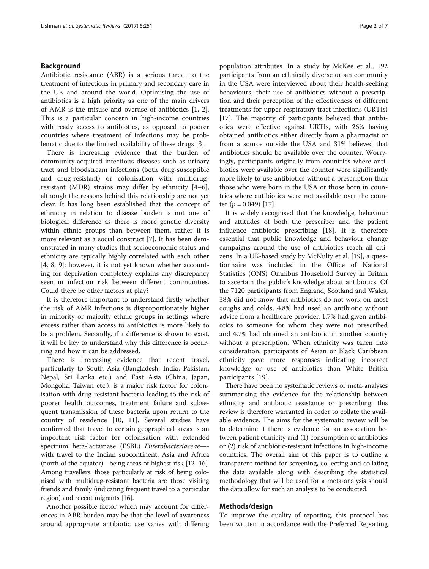## Background

Antibiotic resistance (ABR) is a serious threat to the treatment of infections in primary and secondary care in the UK and around the world. Optimising the use of antibiotics is a high priority as one of the main drivers of AMR is the misuse and overuse of antibiotics [\[1](#page-5-0), [2](#page-5-0)]. This is a particular concern in high-income countries with ready access to antibiotics, as opposed to poorer countries where treatment of infections may be problematic due to the limited availability of these drugs [[3](#page-5-0)].

There is increasing evidence that the burden of community-acquired infectious diseases such as urinary tract and bloodstream infections (both drug-susceptible and drug-resistant) or colonisation with multidrugresistant (MDR) strains may differ by ethnicity [\[4](#page-5-0)–[6](#page-5-0)], although the reasons behind this relationship are not yet clear. It has long been established that the concept of ethnicity in relation to disease burden is not one of biological difference as there is more genetic diversity within ethnic groups than between them, rather it is more relevant as a social construct [[7\]](#page-5-0). It has been demonstrated in many studies that socioeconomic status and ethnicity are typically highly correlated with each other [[4, 8](#page-5-0), [9](#page-5-0)]; however, it is not yet known whether accounting for deprivation completely explains any discrepancy seen in infection risk between different communities. Could there be other factors at play?

It is therefore important to understand firstly whether the risk of AMR infections is disproportionately higher in minority or majority ethnic groups in settings where excess rather than access to antibiotics is more likely to be a problem. Secondly, if a difference is shown to exist, it will be key to understand why this difference is occurring and how it can be addressed.

There is increasing evidence that recent travel, particularly to South Asia (Bangladesh, India, Pakistan, Nepal, Sri Lanka etc.) and East Asia (China, Japan, Mongolia, Taiwan etc.), is a major risk factor for colonisation with drug-resistant bacteria leading to the risk of poorer health outcomes, treatment failure and subsequent transmission of these bacteria upon return to the country of residence [\[10, 11\]](#page-5-0). Several studies have confirmed that travel to certain geographical areas is an important risk factor for colonisation with extended spectrum beta-lactamase (ESBL) Enterobacteriaceae— with travel to the Indian subcontinent, Asia and Africa (north of the equator)—being areas of highest risk [\[12](#page-5-0)–[16](#page-5-0)]. Among travellers, those particularly at risk of being colonised with multidrug-resistant bacteria are those visiting friends and family (indicating frequent travel to a particular region) and recent migrants [\[16\]](#page-5-0).

Another possible factor which may account for differences in ABR burden may be that the level of awareness around appropriate antibiotic use varies with differing

population attributes. In a study by McKee et al., 192 participants from an ethnically diverse urban community in the USA were interviewed about their health-seeking behaviours, their use of antibiotics without a prescription and their perception of the effectiveness of different treatments for upper respiratory tract infections (URTIs) [[17\]](#page-5-0). The majority of participants believed that antibiotics were effective against URTIs, with 26% having obtained antibiotics either directly from a pharmacist or from a source outside the USA and 31% believed that antibiotics should be available over the counter. Worryingly, participants originally from countries where antibiotics were available over the counter were significantly more likely to use antibiotics without a prescription than those who were born in the USA or those born in countries where antibiotics were not available over the counter  $(p = 0.049)$  [[17\]](#page-5-0).

It is widely recognised that the knowledge, behaviour and attitudes of both the prescriber and the patient influence antibiotic prescribing [\[18](#page-5-0)]. It is therefore essential that public knowledge and behaviour change campaigns around the use of antibiotics reach all citizens. In a UK-based study by McNulty et al. [[19\]](#page-6-0), a questionnaire was included in the Office of National Statistics (ONS) Omnibus Household Survey in Britain to ascertain the public's knowledge about antibiotics. Of the 7120 participants from England, Scotland and Wales, 38% did not know that antibiotics do not work on most coughs and colds, 4.8% had used an antibiotic without advice from a healthcare provider, 1.7% had given antibiotics to someone for whom they were not prescribed and 4.7% had obtained an antibiotic in another country without a prescription. When ethnicity was taken into consideration, participants of Asian or Black Caribbean ethnicity gave more responses indicating incorrect knowledge or use of antibiotics than White British participants [[19\]](#page-6-0).

There have been no systematic reviews or meta-analyses summarising the evidence for the relationship between ethnicity and antibiotic resistance or prescribing; this review is therefore warranted in order to collate the available evidence. The aims for the systematic review will be to determine if there is evidence for an association between patient ethnicity and (1) consumption of antibiotics or (2) risk of antibiotic-resistant infections in high-income countries. The overall aim of this paper is to outline a transparent method for screening, collecting and collating the data available along with describing the statistical methodology that will be used for a meta-analysis should the data allow for such an analysis to be conducted.

## Methods/design

To improve the quality of reporting, this protocol has been written in accordance with the Preferred Reporting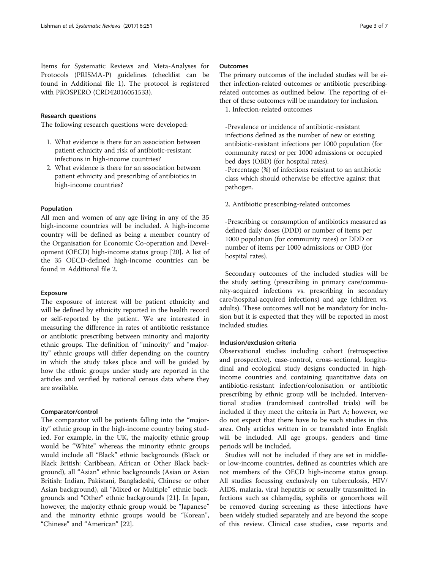Items for Systematic Reviews and Meta-Analyses for Protocols (PRISMA-P) guidelines (checklist can be found in Additional file [1\)](#page-5-0). The protocol is registered with PROSPERO (CRD42016051533).

## Research questions

The following research questions were developed:

- 1. What evidence is there for an association between patient ethnicity and risk of antibiotic-resistant infections in high-income countries?
- 2. What evidence is there for an association between patient ethnicity and prescribing of antibiotics in high-income countries?

## Population

All men and women of any age living in any of the 35 high-income countries will be included. A high-income country will be defined as being a member country of the Organisation for Economic Co-operation and Development (OECD) high-income status group [\[20](#page-6-0)]. A list of the 35 OECD-defined high-income countries can be found in Additional file [2.](#page-5-0)

## Exposure

The exposure of interest will be patient ethnicity and will be defined by ethnicity reported in the health record or self-reported by the patient. We are interested in measuring the difference in rates of antibiotic resistance or antibiotic prescribing between minority and majority ethnic groups. The definition of "minority" and "majority" ethnic groups will differ depending on the country in which the study takes place and will be guided by how the ethnic groups under study are reported in the articles and verified by national census data where they are available.

## Comparator/control

The comparator will be patients falling into the "majority" ethnic group in the high-income country being studied. For example, in the UK, the majority ethnic group would be "White" whereas the minority ethnic groups would include all "Black" ethnic backgrounds (Black or Black British: Caribbean, African or Other Black background), all "Asian" ethnic backgrounds (Asian or Asian British: Indian, Pakistani, Bangladeshi, Chinese or other Asian background), all "Mixed or Multiple" ethnic backgrounds and "Other" ethnic backgrounds [[21\]](#page-6-0). In Japan, however, the majority ethnic group would be "Japanese" and the minority ethnic groups would be "Korean", "Chinese" and "American" [[22](#page-6-0)].

## **Outcomes**

The primary outcomes of the included studies will be either infection-related outcomes or antibiotic prescribingrelated outcomes as outlined below. The reporting of either of these outcomes will be mandatory for inclusion.

1. Infection-related outcomes

-Prevalence or incidence of antibiotic-resistant infections defined as the number of new or existing antibiotic-resistant infections per 1000 population (for community rates) or per 1000 admissions or occupied bed days (OBD) (for hospital rates).

-Percentage (%) of infections resistant to an antibiotic class which should otherwise be effective against that pathogen.

2. Antibiotic prescribing-related outcomes

-Prescribing or consumption of antibiotics measured as defined daily doses (DDD) or number of items per 1000 population (for community rates) or DDD or number of items per 1000 admissions or OBD (for hospital rates).

Secondary outcomes of the included studies will be the study setting (prescribing in primary care/community-acquired infections vs. prescribing in secondary care/hospital-acquired infections) and age (children vs. adults). These outcomes will not be mandatory for inclusion but it is expected that they will be reported in most included studies.

## Inclusion/exclusion criteria

Observational studies including cohort (retrospective and prospective), case-control, cross-sectional, longitudinal and ecological study designs conducted in highincome countries and containing quantitative data on antibiotic-resistant infection/colonisation or antibiotic prescribing by ethnic group will be included. Interventional studies (randomised controlled trials) will be included if they meet the criteria in Part A; however, we do not expect that there have to be such studies in this area. Only articles written in or translated into English will be included. All age groups, genders and time periods will be included.

Studies will not be included if they are set in middleor low-income countries, defined as countries which are not members of the OECD high-income status group. All studies focussing exclusively on tuberculosis, HIV/ AIDS, malaria, viral hepatitis or sexually transmitted infections such as chlamydia, syphilis or gonorrhoea will be removed during screening as these infections have been widely studied separately and are beyond the scope of this review. Clinical case studies, case reports and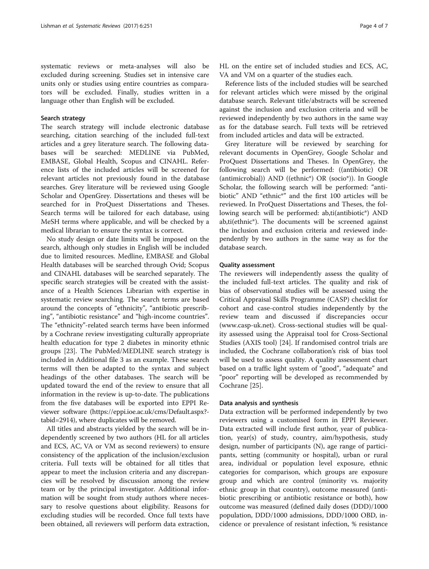systematic reviews or meta-analyses will also be excluded during screening. Studies set in intensive care units only or studies using entire countries as comparators will be excluded. Finally, studies written in a language other than English will be excluded.

## Search strategy

The search strategy will include electronic database searching, citation searching of the included full-text articles and a grey literature search. The following databases will be searched: MEDLINE via PubMed, EMBASE, Global Health, Scopus and CINAHL. Reference lists of the included articles will be screened for relevant articles not previously found in the database searches. Grey literature will be reviewed using Google Scholar and OpenGrey. Dissertations and theses will be searched for in ProQuest Dissertations and Theses. Search terms will be tailored for each database, using MeSH terms where applicable, and will be checked by a medical librarian to ensure the syntax is correct.

No study design or date limits will be imposed on the search, although only studies in English will be included due to limited resources. Medline, EMBASE and Global Health databases will be searched through Ovid; Scopus and CINAHL databases will be searched separately. The specific search strategies will be created with the assistance of a Health Sciences Librarian with expertise in systematic review searching. The search terms are based around the concepts of "ethnicity", "antibiotic prescribing", "antibiotic resistance" and "high-income countries". The "ethnicity"-related search terms have been informed by a Cochrane review investigating culturally appropriate health education for type 2 diabetes in minority ethnic groups [[23\]](#page-6-0). The PubMed/MEDLINE search strategy is included in Additional file [3](#page-5-0) as an example. These search terms will then be adapted to the syntax and subject headings of the other databases. The search will be updated toward the end of the review to ensure that all information in the review is up-to-date. The publications from the five databases will be exported into EPPI Reviewer software [\(https://eppi.ioe.ac.uk/cms/Default.aspx?](https://eppi.ioe.ac.uk/cms/Default.aspx?tabid=2914) [tabid=2914\)](https://eppi.ioe.ac.uk/cms/Default.aspx?tabid=2914), where duplicates will be removed.

All titles and abstracts yielded by the search will be independently screened by two authors (HL for all articles and ECS, AC, VA or VM as second reviewers) to ensure consistency of the application of the inclusion/exclusion criteria. Full texts will be obtained for all titles that appear to meet the inclusion criteria and any discrepancies will be resolved by discussion among the review team or by the principal investigator. Additional information will be sought from study authors where necessary to resolve questions about eligibility. Reasons for excluding studies will be recorded. Once full texts have been obtained, all reviewers will perform data extraction, HL on the entire set of included studies and ECS, AC, VA and VM on a quarter of the studies each.

Reference lists of the included studies will be searched for relevant articles which were missed by the original database search. Relevant title/abstracts will be screened against the inclusion and exclusion criteria and will be reviewed independently by two authors in the same way as for the database search. Full texts will be retrieved from included articles and data will be extracted.

Grey literature will be reviewed by searching for relevant documents in OpenGrey, Google Scholar and ProQuest Dissertations and Theses. In OpenGrey, the following search will be performed: ((antibiotic) OR (antimicrobial)) AND ((ethnic\*) OR (socio\*)). In Google Scholar, the following search will be performed: "antibiotic" AND "ethnic\*" and the first 100 articles will be reviewed. In ProQuest Dissertations and Theses, the following search will be performed: ab,ti(antibiotic\*) AND ab,ti(ethnic\*). The documents will be screened against the inclusion and exclusion criteria and reviewed independently by two authors in the same way as for the database search.

#### Quality assessment

The reviewers will independently assess the quality of the included full-text articles. The quality and risk of bias of observational studies will be assessed using the Critical Appraisal Skills Programme (CASP) checklist for cohort and case-control studies independently by the review team and discussed if discrepancies occur ([www.casp-uk.net](http://www.casp-uk.net)). Cross-sectional studies will be quality assessed using the Appraisal tool for Cross-Sectional Studies (AXIS tool) [\[24](#page-6-0)]. If randomised control trials are included, the Cochrane collaboration's risk of bias tool will be used to assess quality. A quality assessment chart based on a traffic light system of "good", "adequate" and "poor" reporting will be developed as recommended by Cochrane [\[25\]](#page-6-0).

#### Data analysis and synthesis

Data extraction will be performed independently by two reviewers using a customised form in EPPI Reviewer. Data extracted will include first author, year of publication, year(s) of study, country, aim/hypothesis, study design, number of participants (N), age range of participants, setting (community or hospital), urban or rural area, individual or population level exposure, ethnic categories for comparison, which groups are exposure group and which are control (minority vs. majority ethnic group in that country), outcome measured (antibiotic prescribing or antibiotic resistance or both), how outcome was measured (defined daily doses (DDD)/1000 population, DDD/1000 admissions, DDD/1000 OBD, incidence or prevalence of resistant infection, % resistance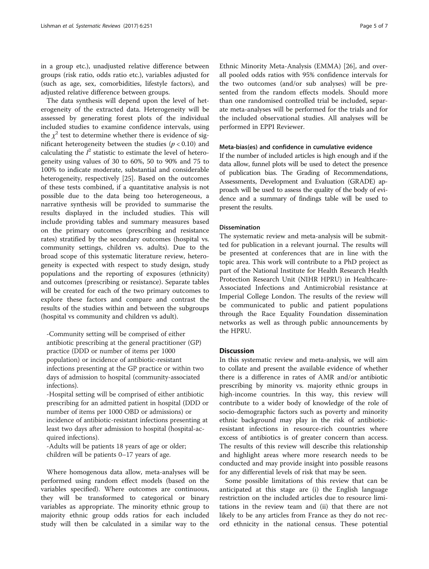in a group etc.), unadjusted relative difference between groups (risk ratio, odds ratio etc.), variables adjusted for (such as age, sex, comorbidities, lifestyle factors), and adjusted relative difference between groups.

The data synthesis will depend upon the level of heterogeneity of the extracted data. Heterogeneity will be assessed by generating forest plots of the individual included studies to examine confidence intervals, using the  $\chi^2$  test to determine whether there is evidence of significant heterogeneity between the studies ( $p < 0.10$ ) and calculating the  $I^2$  statistic to estimate the level of heterogeneity using values of 30 to 60%, 50 to 90% and 75 to 100% to indicate moderate, substantial and considerable heterogeneity, respectively [[25](#page-6-0)]. Based on the outcomes of these tests combined, if a quantitative analysis is not possible due to the data being too heterogeneous, a narrative synthesis will be provided to summarise the results displayed in the included studies. This will include providing tables and summary measures based on the primary outcomes (prescribing and resistance rates) stratified by the secondary outcomes (hospital vs. community settings, children vs. adults). Due to the broad scope of this systematic literature review, heterogeneity is expected with respect to study design, study populations and the reporting of exposures (ethnicity) and outcomes (prescribing or resistance). Separate tables will be created for each of the two primary outcomes to explore these factors and compare and contrast the results of the studies within and between the subgroups (hospital vs community and children vs adult).

-Community setting will be comprised of either antibiotic prescribing at the general practitioner (GP) practice (DDD or number of items per 1000 population) or incidence of antibiotic-resistant infections presenting at the GP practice or within two days of admission to hospital (community-associated infections).

-Hospital setting will be comprised of either antibiotic prescribing for an admitted patient in hospital (DDD or number of items per 1000 OBD or admissions) or incidence of antibiotic-resistant infections presenting at least two days after admission to hospital (hospital-acquired infections).

-Adults will be patients 18 years of age or older; children will be patients 0–17 years of age.

Where homogenous data allow, meta-analyses will be performed using random effect models (based on the variables specified). Where outcomes are continuous, they will be transformed to categorical or binary variables as appropriate. The minority ethnic group to majority ethnic group odds ratios for each included study will then be calculated in a similar way to the

Ethnic Minority Meta-Analysis (EMMA) [\[26](#page-6-0)], and overall pooled odds ratios with 95% confidence intervals for the two outcomes (and/or sub analyses) will be presented from the random effects models. Should more than one randomised controlled trial be included, separate meta-analyses will be performed for the trials and for the included observational studies. All analyses will be performed in EPPI Reviewer.

## Meta-bias(es) and confidence in cumulative evidence

If the number of included articles is high enough and if the data allow, funnel plots will be used to detect the presence of publication bias. The Grading of Recommendations, Assessments, Development and Evaluation (GRADE) approach will be used to assess the quality of the body of evidence and a summary of findings table will be used to present the results.

## Dissemination

The systematic review and meta-analysis will be submitted for publication in a relevant journal. The results will be presented at conferences that are in line with the topic area. This work will contribute to a PhD project as part of the National Institute for Health Research Health Protection Research Unit (NIHR HPRU) in Healthcare-Associated Infections and Antimicrobial resistance at Imperial College London. The results of the review will be communicated to public and patient populations through the Race Equality Foundation dissemination networks as well as through public announcements by the HPRU.

## **Discussion**

In this systematic review and meta-analysis, we will aim to collate and present the available evidence of whether there is a difference in rates of AMR and/or antibiotic prescribing by minority vs. majority ethnic groups in high-income countries. In this way, this review will contribute to a wider body of knowledge of the role of socio-demographic factors such as poverty and minority ethnic background may play in the risk of antibioticresistant infections in resource-rich countries where excess of antibiotics is of greater concern than access. The results of this review will describe this relationship and highlight areas where more research needs to be conducted and may provide insight into possible reasons for any differential levels of risk that may be seen.

Some possible limitations of this review that can be anticipated at this stage are (i) the English language restriction on the included articles due to resource limitations in the review team and (ii) that there are not likely to be any articles from France as they do not record ethnicity in the national census. These potential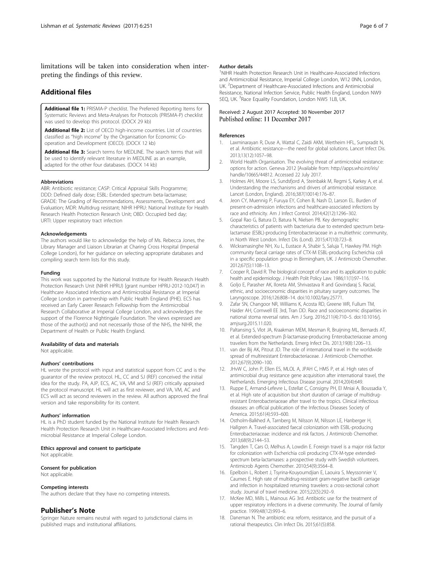<span id="page-5-0"></span>limitations will be taken into consideration when interpreting the findings of this review.

## Additional files

[Additional file 1:](dx.doi.org/10.1186/s13643-017-0654-9) PRISMA-P checklist. The Preferred Reporting Items for Systematic Reviews and Meta-Analyses for Protocols (PRISMA-P) checklist was used to develop this protocol. (DOCX 29 kb)

[Additional file 2:](dx.doi.org/10.1186/s13643-017-0654-9) List of OECD high-income countries. List of countries classified as "high income" by the Organisation for Economic Cooperation and Development (OECD). (DOCX 12 kb)

[Additional file 3:](dx.doi.org/10.1186/s13643-017-0654-9) Search terms for MEDLINE. The search terms that will be used to identify relevant literature in MEDLINE as an example, adapted for the other four databases. (DOCX 14 kb)

#### Abbreviations

ABR: Antibiotic resistance; CASP: Critical Appraisal Skills Programme; DDD: Defined daily dose; ESBL: Extended spectrum beta-lactamase; GRADE: The Grading of Recommendations, Assessments, Development and Evaluation; MDR: Multidrug resistant; NIHR HPRU: National Institute for Health Research Health Protection Research Unit; OBD: Occupied bed day; URTI: Upper respiratory tract infection

#### Acknowledgements

The authors would like to acknowledge the help of Ms. Rebecca Jones, the Library Manager and Liaison Librarian at Charing Cross Hospital (Imperial College London), for her guidance on selecting appropriate databases and compiling search term lists for this study.

#### Funding

This work was supported by the National Institute for Health Research Health Protection Research Unit (NIHR HPRU) [grant number HPRU-2012-10,047] in Healthcare Associated Infections and Antimicrobial Resistance at Imperial College London in partnership with Public Health England (PHE). ECS has received an Early Career Research Fellowship from the Antimicrobial Research Collaborative at Imperial College London, and acknowledges the support of the Florence Nightingale Foundation. The views expressed are those of the author(s) and not necessarily those of the NHS, the NIHR, the Department of Health or Public Health England.

#### Availability of data and materials

Not applicable.

#### Authors' contributions

HL wrote the protocol with input and statistical support from CC and is the guarantor of the review protocol. HL, CC and SJ (REF) conceived the initial idea for the study. PA, AJP, ECS, AC, VA, VM and SJ (REF) critically appraised the protocol manuscript. HL will act as first reviewer, and VA, VM, AC and ECS will act as second reviewers in the review. All authors approved the final version and take responsibility for its content.

#### Authors' information

HL is a PhD student funded by the National Institute for Health Research Health Protection Research Unit in Healthcare-Associated Infections and Antimicrobial Resistance at Imperial College London.

#### Ethics approval and consent to participate

Not applicable.

#### Consent for publication

Not applicable.

#### Competing interests

The authors declare that they have no competing interests.

#### Publisher's Note

Springer Nature remains neutral with regard to jurisdictional claims in published maps and institutional affiliations.

#### Author details

<sup>1</sup>NIHR Health Protection Research Unit in Healthcare-Associated Infections and Antimicrobial Resistance, Imperial College London, W12 0NN, London, UK. <sup>2</sup>Department of Healthcare-Associated Infections and Antimicrobial Resistance, National Infection Service, Public Health England, London NW9 5EQ, UK.<sup>3</sup> Race Equality Foundation, London NW5 1LB, UK

## Received: 2 August 2017 Accepted: 30 November 2017 Published online: 11 December 2017

#### References

- 1. Laxminarayan R, Duse A, Wattal C, Zaidi AKM, Wertheim HFL, Sumpradit N, et al. Antibiotic resistance—the need for global solutions. Lancet Infect Dis. 2013;13(12):1057–98.
- 2. World Health Organisation. The evolving threat of antimicrobial resistance: options for action. Geneva 2012 [Available from: [http://apps.who.int/iris/](http://apps.who.int/iris/handle/10665/44812) [handle/10665/44812](http://apps.who.int/iris/handle/10665/44812). Accessed 22 July 2017.
- 3. Holmes AH, Moore LS, Sundsfjord A, Steinbakk M, Regmi S, Karkey A, et al. Understanding the mechanisms and drivers of antimicrobial resistance. Lancet (London, England). 2016;387(10014):176–87.
- 4. Jeon CY, Muennig P, Furuya EY, Cohen B, Nash D, Larson EL. Burden of present-on-admission infections and healthcare-associated infections by race and ethnicity. Am J Infect Control. 2014;42(12):1296–302.
- 5. Gopal Rao G, Batura D, Batura N, Nielsen PB. Key demographic characteristics of patients with bacteriuria due to extended spectrum betalactamase (ESBL)-producing Enterobacteriaceae in a multiethnic community, in North West London. Infect Dis (Lond). 2015;47(10):723–8.
- 6. Wickramasinghe NH, Xu L, Eustace A, Shabir S, Saluja T, Hawkey PM. High community faecal carriage rates of CTX-M ESBL-producing Escherichia coli in a specific population group in Birmingham, UK. J Antimicrob Chemother. 2012;67(5):1108–13.
- 7. Cooper R, David R. The biological concept of race and its application to public health and epidemiology. J Health Polit Policy Law. 1986;11(1):97–116.
- 8. Goljo E, Parasher AK, Iloreta AM, Shrivastava R and Govindaraj S. Racial, ethnic, and socioeconomic disparities in pituitary surgery outcomes. The Laryngoscope. 2016;126:808–14. doi[:10.1002/lary.25771.](http://dx.doi.org/10.1002/lary.25771)
- 9. Zafar SN, Changoor NR, Williams K, Acosta RD, Greene WR, Fullum TM, Haider AH, Cornwell EE 3rd, Tran DD. Race and socioeconomic disparities in national stoma reversal rates. Am J Surg. 2016;211(4):710–5. doi:[10.1016/j.](http://dx.doi.org/10.1016/j.amjsurg.2015.11.020) [amjsurg.2015.11.020.](http://dx.doi.org/10.1016/j.amjsurg.2015.11.020)
- 10. Paltansing S, Vlot JA, Kraakman MEM, Mesman R, Bruijning ML, Bernards AT, et al. Extended-spectrum β-lactamase-producing Enterobacteriaceae among travelers from the Netherlands. Emerg Infect Dis. 2013;19(8):1206–13.
- 11. van der Bij AK, Pitout JD. The role of international travel in the worldwide spread of multiresistant Enterobacteriaceae. J Antimicrob Chemother. 2012;67(9):2090–100.
- 12. JHvW C, John P, Ellen ES, MLOL A, JPAH C, HMS P, et al. High rates of antimicrobial drug resistance gene acquisition after international travel, the Netherlands. Emerging Infectious Disease journal. 2014;20(4):649.
- 13. Ruppe E, Armand-Lefevre L, Estellat C, Consigny PH, El Mniai A, Boussadia Y, et al. High rate of acquisition but short duration of carriage of multidrugresistant Enterobacteriaceae after travel to the tropics. Clinical infectious diseases: an official publication of the Infectious Diseases Society of America. 2015;61(4):593–600.
- 14. Ostholm-Balkhed A, Tarnberg M, Nilsson M, Nilsson LE, Hanberger H, Hallgren A. Travel-associated faecal colonization with ESBL-producing Enterobacteriaceae: incidence and risk factors. J Antimicrob Chemother. 2013;68(9):2144–53.
- 15. Tangden T, Cars O, Melhus A, Lowdin E. Foreign travel is a major risk factor for colonization with Escherichia coli producing CTX-M-type extendedspectrum beta-lactamases: a prospective study with Swedish volunteers. Antimicrob Agents Chemother. 2010;54(9):3564–8.
- 16. Epelboin L, Robert J, Tsyrina-Kouyoumdjian E, Laouira S, Meyssonnier V, Caumes E. High rate of multidrug-resistant gram-negative bacilli carriage and infection in hospitalized returning travelers: a cross-sectional cohort study. Journal of travel medicine. 2015;22(5):292–9.
- 17. McKee MD, Mills L, Mainous AG 3rd. Antibiotic use for the treatment of upper respiratory infections in a diverse community. The Journal of family practice. 1999;48(12):993–6.
- 18. Daneman N. The antibiotic era: reform, resistance, and the pursuit of a rational therapeutics. Clin Infect Dis. 2015;61(5):858.